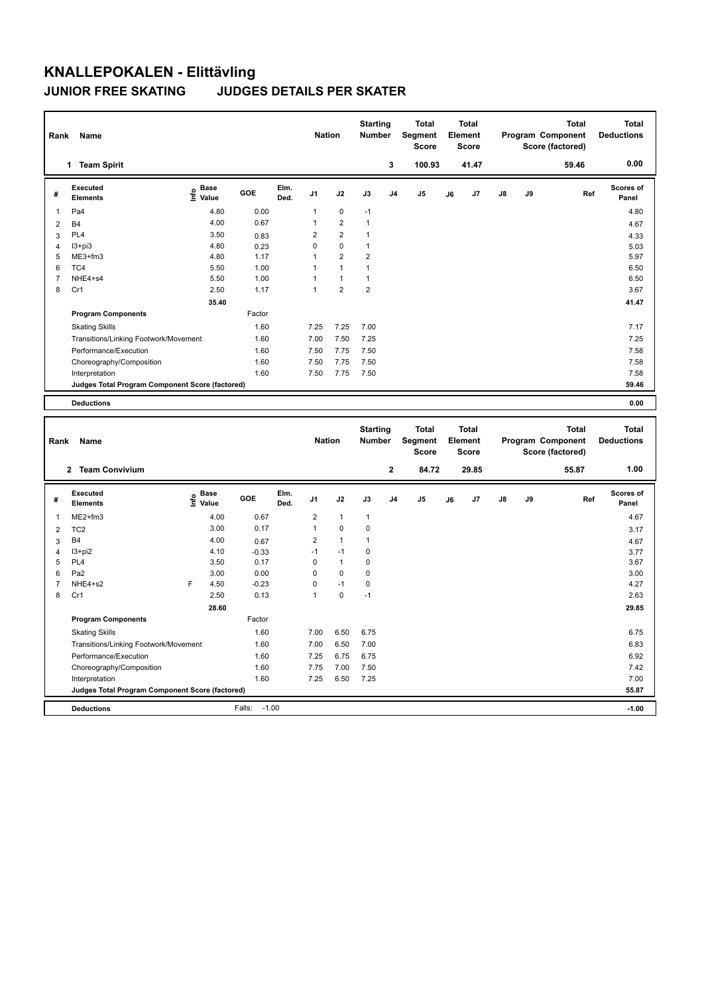## **KNALLEPOKALEN - Elittävling JUNIOR FREE SKATING JUDGES DETAILS PER SKATER**

| Rank           | Name                                            |                                           |         | <b>Nation</b> |                         | <b>Starting</b><br>Number |                                  | <b>Total</b><br>Segment<br><b>Score</b> |                                         | <b>Total</b><br>Element<br><b>Score</b> |                                         |    | <b>Total</b><br>Program Component<br>Score (factored) | <b>Total</b><br><b>Deductions</b>                     |                                   |
|----------------|-------------------------------------------------|-------------------------------------------|---------|---------------|-------------------------|---------------------------|----------------------------------|-----------------------------------------|-----------------------------------------|-----------------------------------------|-----------------------------------------|----|-------------------------------------------------------|-------------------------------------------------------|-----------------------------------|
|                | 1 Team Spirit                                   |                                           |         |               |                         |                           |                                  | 3                                       | 100.93                                  |                                         | 41.47                                   |    |                                                       | 59.46                                                 | 0.00                              |
| #              | <b>Executed</b><br>Elements                     | $\frac{e}{E}$ Base<br>$\frac{E}{E}$ Value | GOE     | Elm.<br>Ded.  | J1                      | J2                        | J3                               | J4                                      | J <sub>5</sub>                          | J6                                      | J7                                      | J8 | J9                                                    | Ref                                                   | Scores of<br>Panel                |
| $\mathbf 1$    | Pa4                                             | 4.80                                      | 0.00    |               | 1                       | 0                         | $-1$                             |                                         |                                         |                                         |                                         |    |                                                       |                                                       | 4.80                              |
| $\overline{2}$ | <b>B4</b>                                       | 4.00                                      | 0.67    |               | 1                       | $\overline{2}$            | $\mathbf{1}$                     |                                         |                                         |                                         |                                         |    |                                                       |                                                       | 4.67                              |
| 3              | PL <sub>4</sub>                                 | 3.50                                      | 0.83    |               | $\overline{2}$          | $\overline{\mathbf{c}}$   | $\mathbf{1}$                     |                                         |                                         |                                         |                                         |    |                                                       |                                                       | 4.33                              |
| 4              | I3+pi3                                          | 4.80                                      | 0.23    |               | $\mathbf 0$             | 0                         | $\mathbf{1}$                     |                                         |                                         |                                         |                                         |    |                                                       |                                                       | 5.03                              |
| 5              | ME3+fm3                                         | 4.80                                      | 1.17    |               | $\mathbf{1}$            | 2                         | $\overline{2}$                   |                                         |                                         |                                         |                                         |    |                                                       |                                                       | 5.97                              |
| 6              | TC4                                             | 5.50                                      | 1.00    |               | $\mathbf{1}$            | $\mathbf{1}$              | $\mathbf{1}$                     |                                         |                                         |                                         |                                         |    |                                                       |                                                       | 6.50                              |
| $\overline{7}$ | NHE4+s4                                         | 5.50                                      | 1.00    |               | $\mathbf{1}$            | $\mathbf{1}$              | $\mathbf{1}$                     |                                         |                                         |                                         |                                         |    |                                                       |                                                       | 6.50                              |
| 8              | Cr1                                             | 2.50                                      | 1.17    |               | $\mathbf{1}$            | $\overline{\mathbf{c}}$   | $\overline{2}$                   |                                         |                                         |                                         |                                         |    |                                                       |                                                       | 3.67                              |
|                |                                                 | 35.40                                     |         |               |                         |                           |                                  |                                         |                                         |                                         |                                         |    |                                                       |                                                       | 41.47                             |
|                | <b>Program Components</b>                       |                                           | Factor  |               |                         |                           |                                  |                                         |                                         |                                         |                                         |    |                                                       |                                                       |                                   |
|                | <b>Skating Skills</b>                           |                                           | 1.60    |               | 7.25                    | 7.25                      | 7.00                             |                                         |                                         |                                         |                                         |    |                                                       |                                                       | 7.17                              |
|                | Transitions/Linking Footwork/Movement           |                                           | 1.60    |               | 7.00                    | 7.50                      | 7.25                             |                                         |                                         |                                         |                                         |    |                                                       |                                                       | 7.25                              |
|                | Performance/Execution                           |                                           | 1.60    |               | 7.50                    | 7.75                      | 7.50                             |                                         |                                         |                                         |                                         |    |                                                       |                                                       | 7.58                              |
|                | Choreography/Composition                        |                                           | 1.60    |               | 7.50                    | 7.75                      | 7.50                             |                                         |                                         |                                         |                                         |    |                                                       |                                                       | 7.58                              |
|                | Interpretation                                  |                                           | 1.60    |               | 7.50                    | 7.75                      | 7.50                             |                                         |                                         |                                         |                                         |    |                                                       |                                                       | 7.58                              |
|                | Judges Total Program Component Score (factored) |                                           |         |               |                         |                           |                                  |                                         |                                         |                                         |                                         |    |                                                       |                                                       | 59.46                             |
|                | <b>Deductions</b>                               |                                           |         |               |                         |                           |                                  |                                         |                                         |                                         |                                         |    |                                                       |                                                       | 0.00                              |
|                |                                                 |                                           |         |               |                         |                           |                                  |                                         |                                         |                                         |                                         |    |                                                       |                                                       |                                   |
| Rank           | Name                                            |                                           |         |               | <b>Nation</b>           |                           | <b>Starting</b><br><b>Number</b> |                                         | <b>Total</b><br>Segment<br><b>Score</b> |                                         | <b>Total</b><br>Element<br><b>Score</b> |    |                                                       | <b>Total</b><br>Program Component<br>Score (factored) | <b>Total</b><br><b>Deductions</b> |
|                | 2 Team Convivium                                |                                           |         |               |                         |                           |                                  | $\mathbf 2$                             | 84.72                                   |                                         | 29.85                                   |    |                                                       | 55.87                                                 | 1.00                              |
| #              | <b>Executed</b><br><b>Elements</b>              | $\frac{6}{5}$ Base<br>$\frac{1}{5}$ Value | GOE     | Elm.<br>Ded.  | J1                      | J2                        | J3                               | J4                                      | J5                                      | J6                                      | J7                                      | J8 | J9                                                    | Ref                                                   | Scores of<br>Panel                |
| 1              | ME2+fm3                                         | 4.00                                      | 0.67    |               | $\mathbf 2$             | $\mathbf{1}$              | 1                                |                                         |                                         |                                         |                                         |    |                                                       |                                                       | 4.67                              |
| $\overline{2}$ | TC <sub>2</sub>                                 | 3.00                                      | 0.17    |               | $\mathbf{1}$            | $\mathbf 0$               | $\mathbf 0$                      |                                         |                                         |                                         |                                         |    |                                                       |                                                       | 3.17                              |
| 3              | <b>B4</b>                                       | 4.00                                      | 0.67    |               | $\overline{\mathbf{c}}$ | $\mathbf{1}$              | $\mathbf{1}$                     |                                         |                                         |                                         |                                         |    |                                                       |                                                       | 4.67                              |
| $\overline{4}$ | I3+pi2                                          | 4.10                                      | $-0.33$ |               | $-1$                    | $-1$                      | 0                                |                                         |                                         |                                         |                                         |    |                                                       |                                                       | 3.77                              |
| 5              | PL <sub>4</sub>                                 | 3.50                                      | 0.17    |               | 0                       | $\mathbf{1}$              | 0                                |                                         |                                         |                                         |                                         |    |                                                       |                                                       | 3.67                              |
| 6              | Pa <sub>2</sub>                                 | 3.00                                      | 0.00    |               | $\mathsf 0$             | 0                         | 0                                |                                         |                                         |                                         |                                         |    |                                                       |                                                       | 3.00                              |
| $\overline{7}$ | NHE4+s2                                         | F<br>4.50                                 | $-0.23$ |               | $\mathsf 0$             | $-1$                      | 0                                |                                         |                                         |                                         |                                         |    |                                                       |                                                       | 4.27                              |
| 8              | Cr1                                             | 2.50                                      | 0.13    |               | $\mathbf{1}$            | $\mathbf 0$               | $-1$                             |                                         |                                         |                                         |                                         |    |                                                       |                                                       | 2.63                              |
|                |                                                 | 28.60                                     |         |               |                         |                           |                                  |                                         |                                         |                                         |                                         |    |                                                       |                                                       | 29.85                             |
|                | <b>Program Components</b>                       |                                           | Factor  |               |                         |                           |                                  |                                         |                                         |                                         |                                         |    |                                                       |                                                       |                                   |
|                | <b>Skating Skills</b>                           |                                           | 1.60    |               | 7.00                    | 6.50                      | 6.75                             |                                         |                                         |                                         |                                         |    |                                                       |                                                       | 6.75                              |
|                | Transitions/Linking Footwork/Movement           |                                           | 1.60    |               | 7.00                    | 6.50                      | 7.00                             |                                         |                                         |                                         |                                         |    |                                                       |                                                       | 6.83                              |
|                | Performance/Execution                           |                                           | 1.60    |               | 7.25                    | 6.75                      | 6.75                             |                                         |                                         |                                         |                                         |    |                                                       |                                                       | 6.92                              |
|                | Choreography/Composition                        |                                           | 1.60    |               | 7.75                    | 7.00                      | 7.50                             |                                         |                                         |                                         |                                         |    |                                                       |                                                       | 7.42                              |
|                | Interpretation                                  |                                           | 1.60    |               | 7.25                    | 6.50                      | 7.25                             |                                         |                                         |                                         |                                         |    |                                                       |                                                       | 7.00                              |
|                | Judges Total Program Component Score (factored) |                                           |         |               |                         |                           |                                  |                                         |                                         |                                         |                                         |    |                                                       |                                                       | 55.87                             |